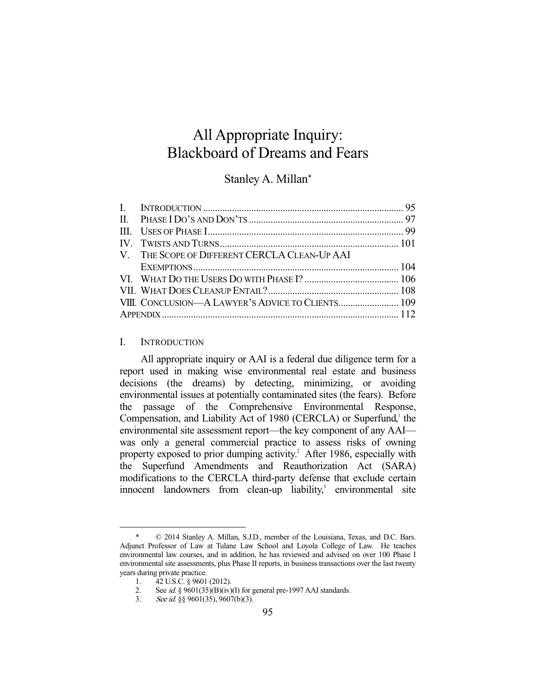# All Appropriate Inquiry: Blackboard of Dreams and Fears

# Stanley A. Millan\*

| VIII. CONCLUSION—A LAWYER'S ADVICE TO CLIENTS 109 |
|---------------------------------------------------|
|                                                   |
|                                                   |

# I. INTRODUCTION

 All appropriate inquiry or AAI is a federal due diligence term for a report used in making wise environmental real estate and business decisions (the dreams) by detecting, minimizing, or avoiding environmental issues at potentially contaminated sites (the fears). Before the passage of the Comprehensive Environmental Response, Compensation, and Liability Act of 1980 (CERCLA) or Superfund,<sup>1</sup> the environmental site assessment report—the key component of any AAI was only a general commercial practice to assess risks of owning property exposed to prior dumping activity.<sup>2</sup> After 1986, especially with the Superfund Amendments and Reauthorization Act (SARA) modifications to the CERCLA third-party defense that exclude certain innocent landowners from clean-up liability,<sup>3</sup> environmental site

 $© 2014 Stanley A. Millan, S.J.D., member of the Louisiana, Texas, and D.C. Bars.$ Adjunct Professor of Law at Tulane Law School and Loyola College of Law. He teaches environmental law courses, and in addition, he has reviewed and advised on over 100 Phase I environmental site assessments, plus Phase II reports, in business transactions over the last twenty years during private practice.

 <sup>1. 42</sup> U.S.C. § 9601 (2012).

<sup>2.</sup> See id. §  $9601(35)(B)(iv)(I)$  for general pre-1997 AAI standards.

 <sup>3.</sup> See id. §§ 9601(35), 9607(b)(3).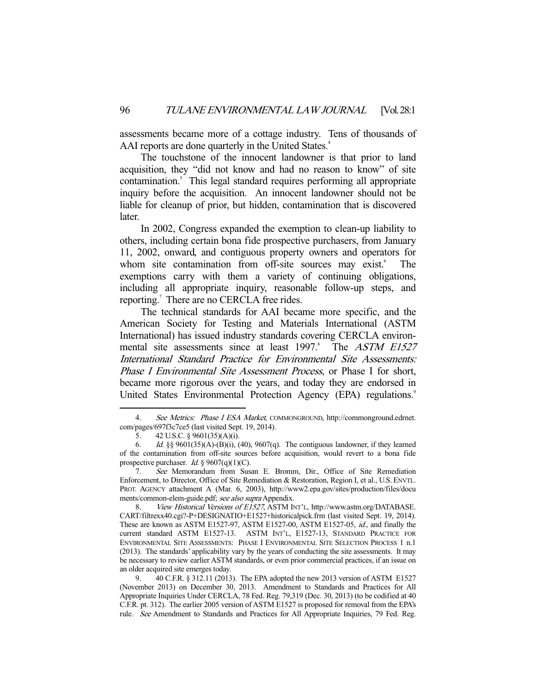assessments became more of a cottage industry. Tens of thousands of AAI reports are done quarterly in the United States.<sup>4</sup>

 The touchstone of the innocent landowner is that prior to land acquisition, they "did not know and had no reason to know" of site contamination.<sup>5</sup> This legal standard requires performing all appropriate inquiry before the acquisition. An innocent landowner should not be liable for cleanup of prior, but hidden, contamination that is discovered later.

 In 2002, Congress expanded the exemption to clean-up liability to others, including certain bona fide prospective purchasers, from January 11, 2002, onward, and contiguous property owners and operators for whom site contamination from off-site sources may exist.<sup>6</sup> The exemptions carry with them a variety of continuing obligations, including all appropriate inquiry, reasonable follow-up steps, and reporting.<sup>7</sup> There are no CERCLA free rides.

 The technical standards for AAI became more specific, and the American Society for Testing and Materials International (ASTM International) has issued industry standards covering CERCLA environmental site assessments since at least 1997.<sup>8</sup> The ASTM E1527 International Standard Practice for Environmental Site Assessments: Phase I Environmental Site Assessment Process, or Phase I for short, became more rigorous over the years, and today they are endorsed in United States Environmental Protection Agency (EPA) regulations.<sup>9</sup>

<sup>4.</sup> See Metrics: Phase I ESA Market, COMMONGROUND, http://commonground.edrnet. com/pages/697f3c7ce5 (last visited Sept. 19, 2014).

 <sup>5. 42</sup> U.S.C. § 9601(35)(A)(i).

<sup>6.</sup> Id.  $\S\S 9601(35)(A)$ -(B)(i), (40), 9607(q). The contiguous landowner, if they learned of the contamination from off-site sources before acquisition, would revert to a bona fide prospective purchaser. *Id.* §  $9607(q)(1)(C)$ .

 <sup>7.</sup> See Memorandum from Susan E. Bromm, Dir., Office of Site Remediation Enforcement, to Director, Office of Site Remediation & Restoration, Region I, et al., U.S. ENVTL. PROT. AGENCY attachment A (Mar. 6, 2003), http://www2.epa.gov/sites/production/files/docu ments/common-elem-guide.pdf; see also supra Appendix.

<sup>8.</sup> View Historical Versions of E1527, ASTM INT'L, http://www.astm.org/DATABASE. CART/filtrexx40.cgi?-P+DESIGNATIO+E1527+historicalpick.frm (last visited Sept. 19, 2014). These are known as ASTM E1527-97, ASTM E1527-00, ASTM E1527-05, id., and finally the current standard ASTM E1527-13. ASTM INT'L, E1527-13, STANDARD PRACTICE FOR ENVIRONMENTAL SITE ASSESSMENTS: PHASE I ENVIRONMENTAL SITE SELECTION PROCESS 1 n.1 (2013). The standards' applicability vary by the years of conducting the site assessments. It may be necessary to review earlier ASTM standards, or even prior commercial practices, if an issue on an older acquired site emerges today.

 <sup>9. 40</sup> C.F.R. § 312.11 (2013). The EPA adopted the new 2013 version of ASTM E1527 (November 2013) on December 30, 2013. Amendment to Standards and Practices for All Appropriate Inquiries Under CERCLA, 78 Fed. Reg. 79,319 (Dec. 30, 2013) (to be codified at 40 C.F.R. pt. 312). The earlier 2005 version of ASTM E1527 is proposed for removal from the EPA's rule. See Amendment to Standards and Practices for All Appropriate Inquiries, 79 Fed. Reg.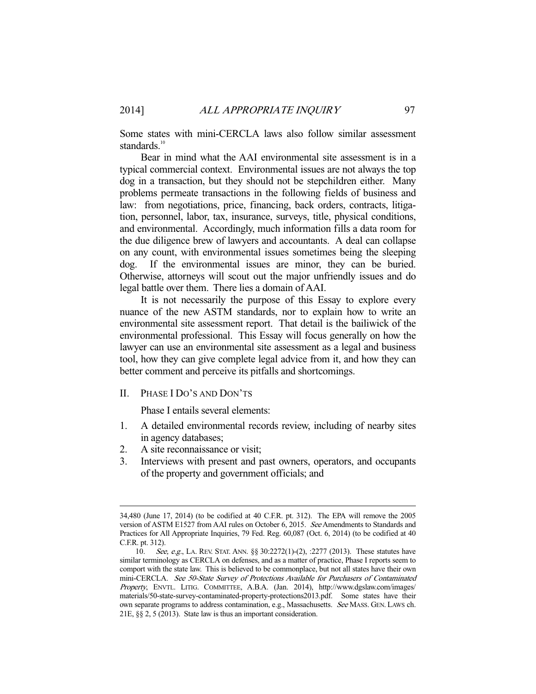Some states with mini-CERCLA laws also follow similar assessment standards.<sup>10</sup>

 Bear in mind what the AAI environmental site assessment is in a typical commercial context. Environmental issues are not always the top dog in a transaction, but they should not be stepchildren either. Many problems permeate transactions in the following fields of business and law: from negotiations, price, financing, back orders, contracts, litigation, personnel, labor, tax, insurance, surveys, title, physical conditions, and environmental. Accordingly, much information fills a data room for the due diligence brew of lawyers and accountants. A deal can collapse on any count, with environmental issues sometimes being the sleeping dog. If the environmental issues are minor, they can be buried. Otherwise, attorneys will scout out the major unfriendly issues and do legal battle over them. There lies a domain of AAI.

 It is not necessarily the purpose of this Essay to explore every nuance of the new ASTM standards, nor to explain how to write an environmental site assessment report. That detail is the bailiwick of the environmental professional. This Essay will focus generally on how the lawyer can use an environmental site assessment as a legal and business tool, how they can give complete legal advice from it, and how they can better comment and perceive its pitfalls and shortcomings.

II. PHASE I DO'S AND DON'TS

Phase I entails several elements:

- 1. A detailed environmental records review, including of nearby sites in agency databases;
- 2. A site reconnaissance or visit;

-

3. Interviews with present and past owners, operators, and occupants of the property and government officials; and

<sup>34,480 (</sup>June 17, 2014) (to be codified at 40 C.F.R. pt. 312). The EPA will remove the 2005 version of ASTM E1527 from AAI rules on October 6, 2015. See Amendments to Standards and Practices for All Appropriate Inquiries, 79 Fed. Reg. 60,087 (Oct. 6, 2014) (to be codified at 40 C.F.R. pt. 312).

<sup>10.</sup> See, e.g., LA. REV. STAT. ANN. §§ 30:2272(1)-(2), :2277 (2013). These statutes have similar terminology as CERCLA on defenses, and as a matter of practice, Phase I reports seem to comport with the state law. This is believed to be commonplace, but not all states have their own mini-CERCLA. See 50-State Survey of Protections Available for Purchasers of Contaminated Property, ENVTL. LITIG. COMMITTEE, A.B.A. (Jan. 2014), http://www.dgslaw.com/images/ materials/50-state-survey-contaminated-property-protections2013.pdf. Some states have their own separate programs to address contamination, e.g., Massachusetts. See MASS. GEN. LAWS ch. 21E, §§ 2, 5 (2013). State law is thus an important consideration.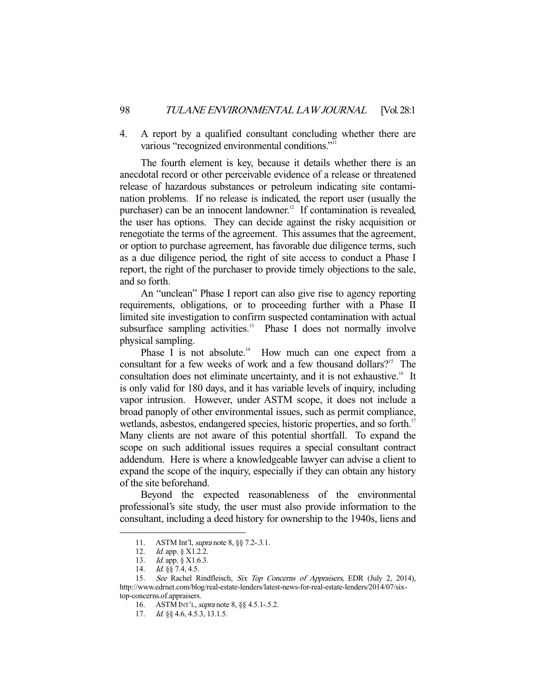4. A report by a qualified consultant concluding whether there are various "recognized environmental conditions."11

 The fourth element is key, because it details whether there is an anecdotal record or other perceivable evidence of a release or threatened release of hazardous substances or petroleum indicating site contamination problems. If no release is indicated, the report user (usually the purchaser) can be an innocent landowner.<sup>12</sup> If contamination is revealed, the user has options. They can decide against the risky acquisition or renegotiate the terms of the agreement. This assumes that the agreement, or option to purchase agreement, has favorable due diligence terms, such as a due diligence period, the right of site access to conduct a Phase I report, the right of the purchaser to provide timely objections to the sale, and so forth.

 An "unclean" Phase I report can also give rise to agency reporting requirements, obligations, or to proceeding further with a Phase II limited site investigation to confirm suspected contamination with actual subsurface sampling activities. $\frac{13}{12}$  Phase I does not normally involve physical sampling.<br>Phase I is not absolute.<sup>14</sup>

How much can one expect from a consultant for a few weeks of work and a few thousand dollars?<sup>15</sup> The consultation does not eliminate uncertainty, and it is not exhaustive.<sup>16</sup> It is only valid for 180 days, and it has variable levels of inquiry, including vapor intrusion. However, under ASTM scope, it does not include a broad panoply of other environmental issues, such as permit compliance, wetlands, asbestos, endangered species, historic properties, and so forth.<sup>17</sup> Many clients are not aware of this potential shortfall. To expand the scope on such additional issues requires a special consultant contract addendum. Here is where a knowledgeable lawyer can advise a client to expand the scope of the inquiry, especially if they can obtain any history of the site beforehand.

 Beyond the expected reasonableness of the environmental professional's site study, the user must also provide information to the consultant, including a deed history for ownership to the 1940s, liens and

<sup>11.</sup> ASTM Int'l, *supra* note 8, §§ 7.2-.3.1.

<sup>12.</sup> *Id.* app. § X1.2.2.

 <sup>13.</sup> Id. app. § X1.6.3.

<sup>14.</sup> *Id.* §§ 7.4, 4.5.

<sup>15.</sup> See Rachel Rindfleisch, Six Top Concerns of Appraisers, EDR (July 2, 2014), http://www.edrnet.com/blog/real-estate-lenders/latest-news-for-real-estate-lenders/2014/07/sixtop-concerns.of.appraisers.

<sup>16.</sup> ASTM INT'L, *supra* note 8, §§ 4.5.1-.5.2.

<sup>17.</sup> *Id.* §§ 4.6, 4.5.3, 13.1.5.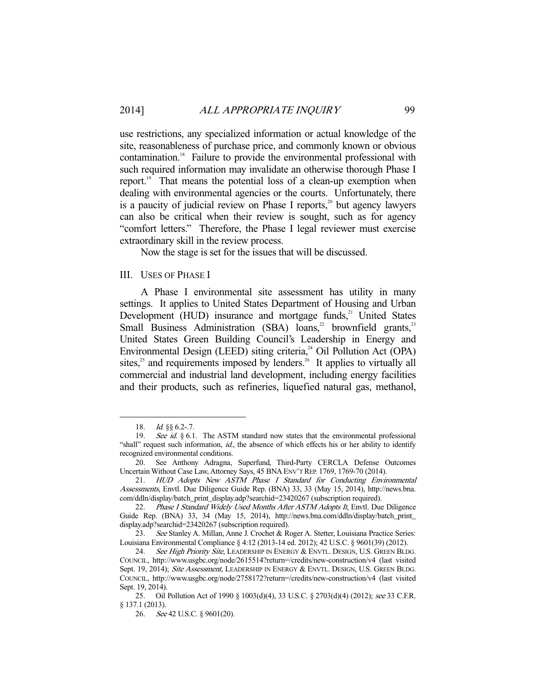use restrictions, any specialized information or actual knowledge of the site, reasonableness of purchase price, and commonly known or obvious contamination.<sup>18</sup> Failure to provide the environmental professional with such required information may invalidate an otherwise thorough Phase I report.<sup>19</sup> That means the potential loss of a clean-up exemption when dealing with environmental agencies or the courts. Unfortunately, there is a paucity of judicial review on Phase I reports, $2^{\circ}$  but agency lawyers can also be critical when their review is sought, such as for agency "comfort letters." Therefore, the Phase I legal reviewer must exercise extraordinary skill in the review process.

Now the stage is set for the issues that will be discussed.

#### III. USES OF PHASE I

 A Phase I environmental site assessment has utility in many settings. It applies to United States Department of Housing and Urban Development (HUD) insurance and mortgage funds, $21$  United States Small Business Administration (SBA) loans,<sup>22</sup> brownfield grants,<sup>23</sup> United States Green Building Council's Leadership in Energy and Environmental Design (LEED) siting criteria,<sup>24</sup> Oil Pollution Act (OPA) sites, $25$  and requirements imposed by lenders.<sup>26</sup> It applies to virtually all commercial and industrial land development, including energy facilities and their products, such as refineries, liquefied natural gas, methanol,

<sup>18.</sup> *Id.* §§ 6.2-.7.

<sup>19.</sup> See id.  $§ 6.1$ . The ASTM standard now states that the environmental professional "shall" request such information,  $id$ , the absence of which effects his or her ability to identify recognized environmental conditions.

 <sup>20.</sup> See Anthony Adragna, Superfund, Third-Party CERCLA Defense Outcomes Uncertain Without Case Law, Attorney Says, 45 BNA ENV'T REP. 1769, 1769-70 (2014).

 <sup>21.</sup> HUD Adopts New ASTM Phase I Standard for Conducting Environmental Assessments, Envtl. Due Diligence Guide Rep. (BNA) 33, 33 (May 15, 2014), http://news.bna. com/ddln/display/batch\_print\_display.adp?searchid=23420267 (subscription required).

<sup>22.</sup> Phase I Standard Widely Used Months After ASTM Adopts It, Envtl. Due Diligence Guide Rep. (BNA) 33, 34 (May 15, 2014), http://news.bna.com/ddln/display/batch\_print display.adp?searchid=23420267 (subscription required).

<sup>23.</sup> See Stanley A. Millan, Anne J. Crochet & Roger A. Stetter, Louisiana Practice Series: Louisiana Environmental Compliance § 4:12 (2013-14 ed. 2012); 42 U.S.C. § 9601(39) (2012).

<sup>24.</sup> See High Priority Site, LEADERSHIP IN ENERGY & ENVTL. DESIGN, U.S. GREEN BLDG. COUNCIL, http://www.usgbc.org/node/2615514?return=/credits/new-construction/v4 (last visited Sept. 19, 2014); Site Assessment, LEADERSHIP IN ENERGY & ENVTL. DESIGN, U.S. GREEN BLDG. COUNCIL, http://www.usgbc.org/node/2758172?return=/credits/new-construction/v4 (last visited Sept. 19, 2014).

<sup>25.</sup> Oil Pollution Act of 1990 § 1003(d)(4), 33 U.S.C. § 2703(d)(4) (2012); see 33 C.F.R. § 137.1 (2013).

 <sup>26.</sup> See 42 U.S.C. § 9601(20).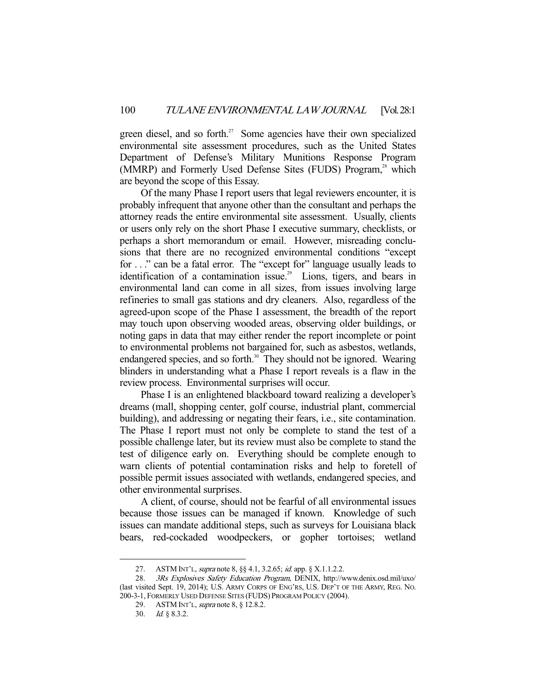green diesel, and so forth.<sup>27</sup> Some agencies have their own specialized environmental site assessment procedures, such as the United States Department of Defense's Military Munitions Response Program (MMRP) and Formerly Used Defense Sites (FUDS) Program,<sup>28</sup> which are beyond the scope of this Essay.

 Of the many Phase I report users that legal reviewers encounter, it is probably infrequent that anyone other than the consultant and perhaps the attorney reads the entire environmental site assessment. Usually, clients or users only rely on the short Phase I executive summary, checklists, or perhaps a short memorandum or email. However, misreading conclusions that there are no recognized environmental conditions "except for . . ." can be a fatal error. The "except for" language usually leads to identification of a contamination issue.<sup>29</sup> Lions, tigers, and bears in environmental land can come in all sizes, from issues involving large refineries to small gas stations and dry cleaners. Also, regardless of the agreed-upon scope of the Phase I assessment, the breadth of the report may touch upon observing wooded areas, observing older buildings, or noting gaps in data that may either render the report incomplete or point to environmental problems not bargained for, such as asbestos, wetlands, endangered species, and so forth.<sup>30</sup> They should not be ignored. Wearing blinders in understanding what a Phase I report reveals is a flaw in the review process. Environmental surprises will occur.

 Phase I is an enlightened blackboard toward realizing a developer's dreams (mall, shopping center, golf course, industrial plant, commercial building), and addressing or negating their fears, i.e., site contamination. The Phase I report must not only be complete to stand the test of a possible challenge later, but its review must also be complete to stand the test of diligence early on. Everything should be complete enough to warn clients of potential contamination risks and help to foretell of possible permit issues associated with wetlands, endangered species, and other environmental surprises.

 A client, of course, should not be fearful of all environmental issues because those issues can be managed if known. Knowledge of such issues can mandate additional steps, such as surveys for Louisiana black bears, red-cockaded woodpeckers, or gopher tortoises; wetland

<sup>27.</sup> ASTM INT'L, *supra* note 8, §§ 4.1, 3.2.65; *id.* app. § X.1.1.2.2.

 <sup>28.</sup> 3Rs Explosives Safety Education Program, DENIX, http://www.denix.osd.mil/uxo/ (last visited Sept. 19, 2014); U.S. ARMY CORPS OF ENG'RS, U.S. DEP'T OF THE ARMY, REG. NO. 200-3-1, FORMERLY USED DEFENSE SITES (FUDS) PROGRAM POLICY (2004).

 <sup>29.</sup> ASTM INT'L, supra note 8, § 12.8.2.

 <sup>30.</sup> Id. § 8.3.2.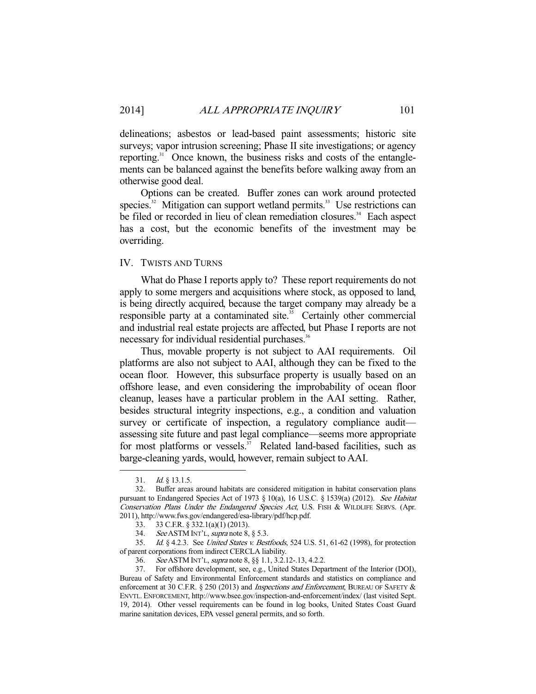delineations; asbestos or lead-based paint assessments; historic site surveys; vapor intrusion screening; Phase II site investigations; or agency reporting.<sup>31</sup> Once known, the business risks and costs of the entanglements can be balanced against the benefits before walking away from an otherwise good deal.

 Options can be created. Buffer zones can work around protected species.<sup>32</sup> Mitigation can support wetland permits.<sup>33</sup> Use restrictions can be filed or recorded in lieu of clean remediation closures.<sup>34</sup> Each aspect has a cost, but the economic benefits of the investment may be overriding.

## IV. TWISTS AND TURNS

 What do Phase I reports apply to? These report requirements do not apply to some mergers and acquisitions where stock, as opposed to land, is being directly acquired, because the target company may already be a responsible party at a contaminated site.<sup>35</sup> Certainly other commercial and industrial real estate projects are affected, but Phase I reports are not necessary for individual residential purchases.<sup>36</sup>

 Thus, movable property is not subject to AAI requirements. Oil platforms are also not subject to AAI, although they can be fixed to the ocean floor. However, this subsurface property is usually based on an offshore lease, and even considering the improbability of ocean floor cleanup, leases have a particular problem in the AAI setting. Rather, besides structural integrity inspections, e.g., a condition and valuation survey or certificate of inspection, a regulatory compliance audit assessing site future and past legal compliance—seems more appropriate for most platforms or vessels.<sup>37</sup> Related land-based facilities, such as barge-cleaning yards, would, however, remain subject to AAI.

<sup>31.</sup> *Id.* § 13.1.5.

 <sup>32.</sup> Buffer areas around habitats are considered mitigation in habitat conservation plans pursuant to Endangered Species Act of 1973 § 10(a), 16 U.S.C. § 1539(a) (2012). See Habitat Conservation Plans Under the Endangered Species Act, U.S. FISH & WILDLIFE SERVS. (Apr. 2011), http://www.fws.gov/endangered/esa-library/pdf/hcp.pdf.

 <sup>33. 33</sup> C.F.R. § 332.1(a)(1) (2013).

<sup>34.</sup> See ASTM INT'L, supra note 8, § 5.3.

 <sup>35.</sup> Id. § 4.2.3. See United States v. Bestfoods, 524 U.S. 51, 61-62 (1998), for protection of parent corporations from indirect CERCLA liability.<br>36. See ASTM INT'L, supra note 8, §§ 1.1, 3.2.1

 <sup>36.</sup> See ASTM INT'L, supra note 8, §§ 1.1, 3.2.12-.13, 4.2.2.

 <sup>37.</sup> For offshore development, see, e.g., United States Department of the Interior (DOI), Bureau of Safety and Environmental Enforcement standards and statistics on compliance and enforcement at 30 C.F.R. § 250 (2013) and *Inspections and Enforcement*, BUREAU OF SAFETY & ENVTL. ENFORCEMENT, http://www.bsee.gov/inspection-and-enforcement/index/ (last visited Sept. 19, 2014). Other vessel requirements can be found in log books, United States Coast Guard marine sanitation devices, EPA vessel general permits, and so forth.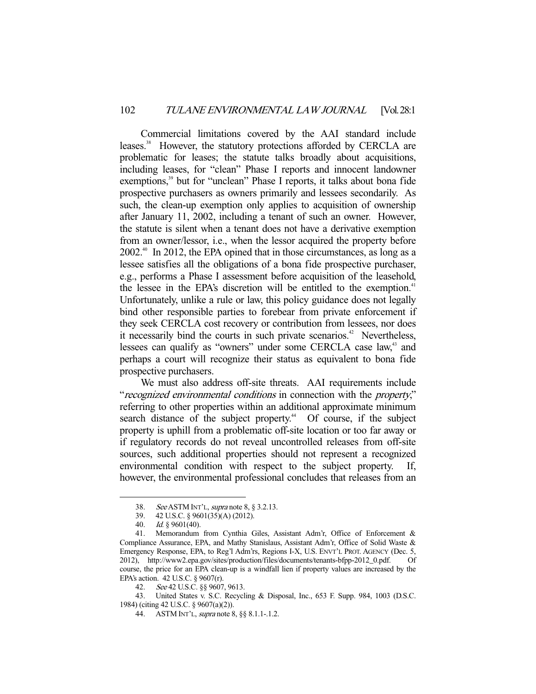Commercial limitations covered by the AAI standard include leases.<sup>38</sup> However, the statutory protections afforded by CERCLA are problematic for leases; the statute talks broadly about acquisitions, including leases, for "clean" Phase I reports and innocent landowner exemptions,<sup>39</sup> but for "unclean" Phase I reports, it talks about bona fide prospective purchasers as owners primarily and lessees secondarily. As such, the clean-up exemption only applies to acquisition of ownership after January 11, 2002, including a tenant of such an owner. However, the statute is silent when a tenant does not have a derivative exemption from an owner/lessor, i.e., when the lessor acquired the property before 2002.40 In 2012, the EPA opined that in those circumstances, as long as a lessee satisfies all the obligations of a bona fide prospective purchaser, e.g., performs a Phase I assessment before acquisition of the leasehold, the lessee in the EPA's discretion will be entitled to the exemption.<sup>41</sup> Unfortunately, unlike a rule or law, this policy guidance does not legally bind other responsible parties to forebear from private enforcement if they seek CERCLA cost recovery or contribution from lessees, nor does it necessarily bind the courts in such private scenarios.<sup>42</sup> Nevertheless, lessees can qualify as "owners" under some CERCLA case law,<sup>43</sup> and perhaps a court will recognize their status as equivalent to bona fide prospective purchasers.

 We must also address off-site threats. AAI requirements include "recognized environmental conditions in connection with the property," referring to other properties within an additional approximate minimum search distance of the subject property.<sup>44</sup> Of course, if the subject property is uphill from a problematic off-site location or too far away or if regulatory records do not reveal uncontrolled releases from off-site sources, such additional properties should not represent a recognized environmental condition with respect to the subject property. If, however, the environmental professional concludes that releases from an

 <sup>38.</sup> See ASTM INT'L, supra note 8, § 3.2.13.

 <sup>39. 42</sup> U.S.C. § 9601(35)(A) (2012).

 <sup>40.</sup> Id. § 9601(40).

 <sup>41.</sup> Memorandum from Cynthia Giles, Assistant Adm'r, Office of Enforcement & Compliance Assurance, EPA, and Mathy Stanislaus, Assistant Adm'r, Office of Solid Waste & Emergency Response, EPA, to Reg'l Adm'rs, Regions I-X, U.S. ENVT'L PROT. AGENCY (Dec. 5, 2012), http://www2.epa.gov/sites/production/files/documents/tenants-bfpp-2012\_0.pdf. Of course, the price for an EPA clean-up is a windfall lien if property values are increased by the EPA's action. 42 U.S.C. § 9607(r).

 <sup>42.</sup> See 42 U.S.C. §§ 9607, 9613.

 <sup>43.</sup> United States v. S.C. Recycling & Disposal, Inc., 653 F. Supp. 984, 1003 (D.S.C. 1984) (citing 42 U.S.C. § 9607(a)(2)).

<sup>44.</sup> ASTM INT'L, *supra* note 8, §§ 8.1.1-.1.2.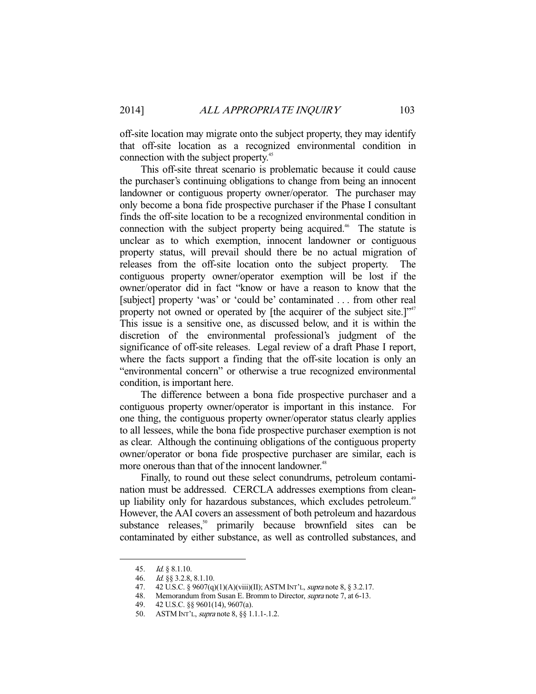off-site location may migrate onto the subject property, they may identify that off-site location as a recognized environmental condition in connection with the subject property.<sup>45</sup>

 This off-site threat scenario is problematic because it could cause the purchaser's continuing obligations to change from being an innocent landowner or contiguous property owner/operator. The purchaser may only become a bona fide prospective purchaser if the Phase I consultant finds the off-site location to be a recognized environmental condition in connection with the subject property being acquired.<sup>46</sup> The statute is unclear as to which exemption, innocent landowner or contiguous property status, will prevail should there be no actual migration of releases from the off-site location onto the subject property. The contiguous property owner/operator exemption will be lost if the owner/operator did in fact "know or have a reason to know that the [subject] property 'was' or 'could be' contaminated . . . from other real property not owned or operated by [the acquirer of the subject site.]"<sup>47</sup> This issue is a sensitive one, as discussed below, and it is within the discretion of the environmental professional's judgment of the significance of off-site releases. Legal review of a draft Phase I report, where the facts support a finding that the off-site location is only an "environmental concern" or otherwise a true recognized environmental condition, is important here.

 The difference between a bona fide prospective purchaser and a contiguous property owner/operator is important in this instance. For one thing, the contiguous property owner/operator status clearly applies to all lessees, while the bona fide prospective purchaser exemption is not as clear. Although the continuing obligations of the contiguous property owner/operator or bona fide prospective purchaser are similar, each is more onerous than that of the innocent landowner.<sup>48</sup>

 Finally, to round out these select conundrums, petroleum contamination must be addressed. CERCLA addresses exemptions from cleanup liability only for hazardous substances, which excludes petroleum.<sup>49</sup> However, the AAI covers an assessment of both petroleum and hazardous substance releases,<sup>50</sup> primarily because brownfield sites can be contaminated by either substance, as well as controlled substances, and

 <sup>45.</sup> Id. § 8.1.10.

 <sup>46.</sup> Id. §§ 3.2.8, 8.1.10.

<sup>47. 42</sup> U.S.C. § 9607(q)(1)(A)(viii)(II); ASTM INT'L, *supra* note 8, § 3.2.17.

 <sup>48.</sup> Memorandum from Susan E. Bromm to Director, supra note 7, at 6-13.

 <sup>49. 42</sup> U.S.C. §§ 9601(14), 9607(a).

 <sup>50.</sup> ASTM INT'L, supra note 8, §§ 1.1.1-.1.2.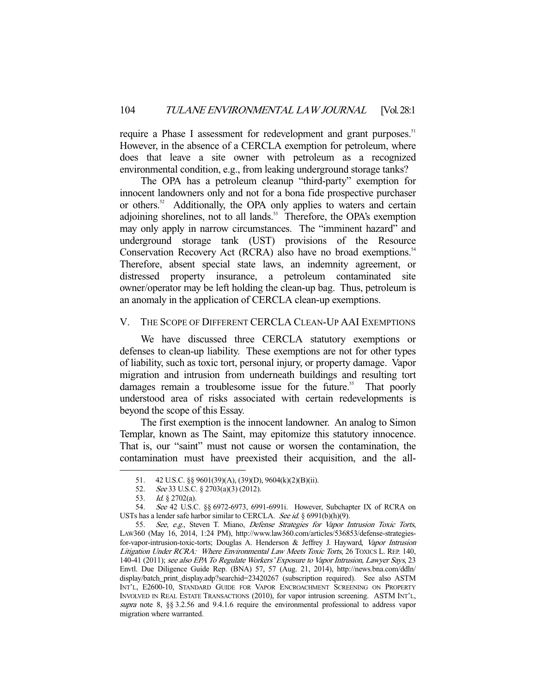require a Phase I assessment for redevelopment and grant purposes.<sup>51</sup> However, in the absence of a CERCLA exemption for petroleum, where does that leave a site owner with petroleum as a recognized environmental condition, e.g., from leaking underground storage tanks?

 The OPA has a petroleum cleanup "third-party" exemption for innocent landowners only and not for a bona fide prospective purchaser or others.<sup>52</sup> Additionally, the OPA only applies to waters and certain adjoining shorelines, not to all lands.<sup>53</sup> Therefore, the OPA's exemption may only apply in narrow circumstances. The "imminent hazard" and underground storage tank (UST) provisions of the Resource Conservation Recovery Act (RCRA) also have no broad exemptions.<sup>54</sup> Therefore, absent special state laws, an indemnity agreement, or distressed property insurance, a petroleum contaminated site owner/operator may be left holding the clean-up bag. Thus, petroleum is an anomaly in the application of CERCLA clean-up exemptions.

#### V. THE SCOPE OF DIFFERENT CERCLA CLEAN-UP AAI EXEMPTIONS

 We have discussed three CERCLA statutory exemptions or defenses to clean-up liability. These exemptions are not for other types of liability, such as toxic tort, personal injury, or property damage. Vapor migration and intrusion from underneath buildings and resulting tort damages remain a troublesome issue for the future.<sup>55</sup> That poorly understood area of risks associated with certain redevelopments is beyond the scope of this Essay.

 The first exemption is the innocent landowner. An analog to Simon Templar, known as The Saint, may epitomize this statutory innocence. That is, our "saint" must not cause or worsen the contamination, the contamination must have preexisted their acquisition, and the all-

 <sup>51. 42</sup> U.S.C. §§ 9601(39)(A), (39)(D), 9604(k)(2)(B)(ii).

 <sup>52.</sup> See 33 U.S.C. § 2703(a)(3) (2012).

 <sup>53.</sup> Id. § 2702(a).

 <sup>54.</sup> See 42 U.S.C. §§ 6972-6973, 6991-6991i. However, Subchapter IX of RCRA on USTs has a lender safe harbor similar to CERCLA. See id. § 6991(b)(h)(9).

<sup>55.</sup> See, e.g., Steven T. Miano, Defense Strategies for Vapor Intrusion Toxic Torts, LAW360 (May 16, 2014, 1:24 PM), http://www.law360.com/articles/536853/defense-strategiesfor-vapor-intrusion-toxic-torts; Douglas A. Henderson & Jeffrey J. Hayward, Vapor Intrusion Litigation Under RCRA: Where Environmental Law Meets Toxic Torts, 26 TOXICS L. REP. 140, 140-41 (2011); see also EPA To Regulate Workers' Exposure to Vapor Intrusion, Lawyer Says, 23 Envtl. Due Diligence Guide Rep. (BNA) 57, 57 (Aug. 21, 2014), http://news.bna.com/ddln/ display/batch\_print\_display.adp?searchid=23420267 (subscription required). See also ASTM INT'L, E2600-10, STANDARD GUIDE FOR VAPOR ENCROACHMENT SCREENING ON PROPERTY INVOLVED IN REAL ESTATE TRANSACTIONS (2010), for vapor intrusion screening. ASTM INT'L, supra note 8, §§ 3.2.56 and 9.4.1.6 require the environmental professional to address vapor migration where warranted.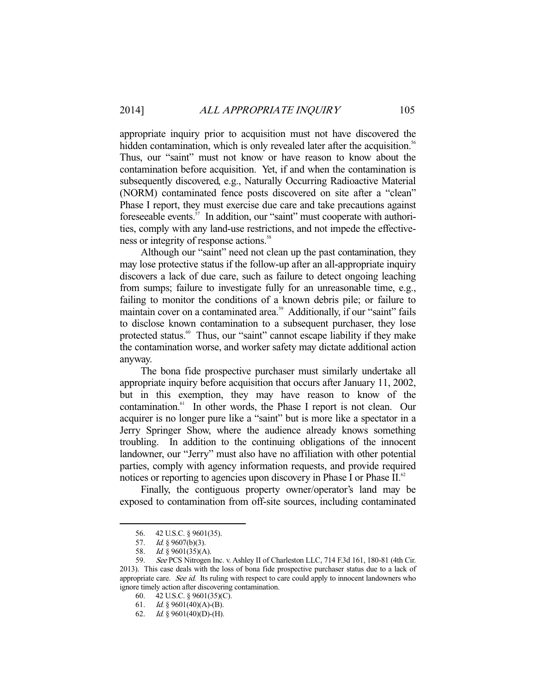appropriate inquiry prior to acquisition must not have discovered the hidden contamination, which is only revealed later after the acquisition.<sup>56</sup> Thus, our "saint" must not know or have reason to know about the contamination before acquisition. Yet, if and when the contamination is subsequently discovered, e.g., Naturally Occurring Radioactive Material (NORM) contaminated fence posts discovered on site after a "clean" Phase I report, they must exercise due care and take precautions against foreseeable events.<sup>57</sup> In addition, our "saint" must cooperate with authorities, comply with any land-use restrictions, and not impede the effectiveness or integrity of response actions.<sup>58</sup>

 Although our "saint" need not clean up the past contamination, they may lose protective status if the follow-up after an all-appropriate inquiry discovers a lack of due care, such as failure to detect ongoing leaching from sumps; failure to investigate fully for an unreasonable time, e.g., failing to monitor the conditions of a known debris pile; or failure to maintain cover on a contaminated area.<sup>59</sup> Additionally, if our "saint" fails to disclose known contamination to a subsequent purchaser, they lose protected status.<sup>60</sup> Thus, our "saint" cannot escape liability if they make the contamination worse, and worker safety may dictate additional action anyway.

 The bona fide prospective purchaser must similarly undertake all appropriate inquiry before acquisition that occurs after January 11, 2002, but in this exemption, they may have reason to know of the contamination.61 In other words, the Phase I report is not clean. Our acquirer is no longer pure like a "saint" but is more like a spectator in a Jerry Springer Show, where the audience already knows something troubling. In addition to the continuing obligations of the innocent landowner, our "Jerry" must also have no affiliation with other potential parties, comply with agency information requests, and provide required notices or reporting to agencies upon discovery in Phase I or Phase II.<sup>62</sup>

 Finally, the contiguous property owner/operator's land may be exposed to contamination from off-site sources, including contaminated

 <sup>56. 42</sup> U.S.C. § 9601(35).

<sup>57.</sup> *Id.* § 9607(b)(3).

 <sup>58.</sup> Id. § 9601(35)(A).

 <sup>59.</sup> See PCS Nitrogen Inc. v. Ashley II of Charleston LLC, 714 F.3d 161, 180-81 (4th Cir. 2013). This case deals with the loss of bona fide prospective purchaser status due to a lack of appropriate care. See id. Its ruling with respect to care could apply to innocent landowners who ignore timely action after discovering contamination.

 <sup>60. 42</sup> U.S.C. § 9601(35)(C).

<sup>61.</sup> Id. § 9601(40)(A)-(B).

<sup>62.</sup> *Id.* § 9601(40)(D)-(H).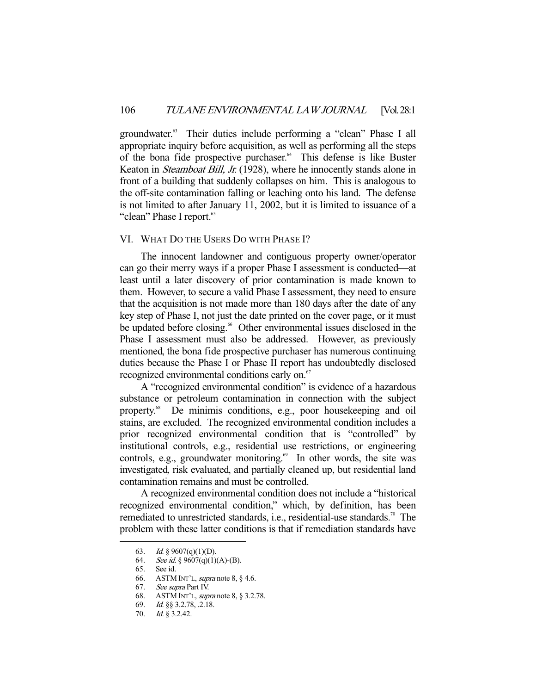groundwater.<sup>63</sup> Their duties include performing a "clean" Phase I all appropriate inquiry before acquisition, as well as performing all the steps of the bona fide prospective purchaser.<sup>64</sup> This defense is like Buster Keaton in *Steamboat Bill, Jr.* (1928), where he innocently stands alone in front of a building that suddenly collapses on him. This is analogous to the off-site contamination falling or leaching onto his land. The defense is not limited to after January 11, 2002, but it is limited to issuance of a "clean" Phase I report.<sup>65</sup>

#### VI. WHAT DO THE USERS DO WITH PHASE I?

 The innocent landowner and contiguous property owner/operator can go their merry ways if a proper Phase I assessment is conducted—at least until a later discovery of prior contamination is made known to them. However, to secure a valid Phase I assessment, they need to ensure that the acquisition is not made more than 180 days after the date of any key step of Phase I, not just the date printed on the cover page, or it must be updated before closing.<sup>66</sup> Other environmental issues disclosed in the Phase I assessment must also be addressed. However, as previously mentioned, the bona fide prospective purchaser has numerous continuing duties because the Phase I or Phase II report has undoubtedly disclosed recognized environmental conditions early on.<sup>67</sup>

 A "recognized environmental condition" is evidence of a hazardous substance or petroleum contamination in connection with the subject property.<sup>68</sup> De minimis conditions, e.g., poor housekeeping and oil stains, are excluded. The recognized environmental condition includes a prior recognized environmental condition that is "controlled" by institutional controls, e.g., residential use restrictions, or engineering controls, e.g., groundwater monitoring.<sup>69</sup> In other words, the site was investigated, risk evaluated, and partially cleaned up, but residential land contamination remains and must be controlled.

 A recognized environmental condition does not include a "historical recognized environmental condition," which, by definition, has been remediated to unrestricted standards, i.e., residential-use standards.<sup>70</sup> The problem with these latter conditions is that if remediation standards have

<sup>63.</sup> *Id.* § 9607(q)(1)(D).<br>64. *See id.* § 9607(q)(1)

See id. § 9607(q)(1)(A)-(B).

 <sup>65.</sup> See id.

 <sup>66.</sup> ASTM INT'L, supra note 8, § 4.6. 66. ASTM INT

 <sup>68.</sup> ASTM INT'L, supra note 8, § 3.2.78.

 <sup>69.</sup> Id. §§ 3.2.78, .2.18.

 <sup>70.</sup> Id. § 3.2.42.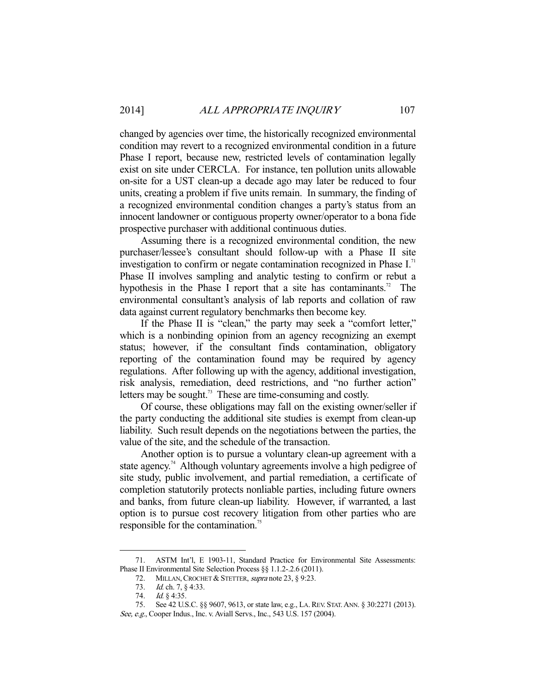changed by agencies over time, the historically recognized environmental condition may revert to a recognized environmental condition in a future Phase I report, because new, restricted levels of contamination legally exist on site under CERCLA. For instance, ten pollution units allowable on-site for a UST clean-up a decade ago may later be reduced to four units, creating a problem if five units remain. In summary, the finding of a recognized environmental condition changes a party's status from an innocent landowner or contiguous property owner/operator to a bona fide prospective purchaser with additional continuous duties.

 Assuming there is a recognized environmental condition, the new purchaser/lessee's consultant should follow-up with a Phase II site investigation to confirm or negate contamination recognized in Phase I.<sup>71</sup> Phase II involves sampling and analytic testing to confirm or rebut a hypothesis in the Phase I report that a site has contaminants.<sup>72</sup> The environmental consultant's analysis of lab reports and collation of raw data against current regulatory benchmarks then become key.

 If the Phase II is "clean," the party may seek a "comfort letter," which is a nonbinding opinion from an agency recognizing an exempt status; however, if the consultant finds contamination, obligatory reporting of the contamination found may be required by agency regulations. After following up with the agency, additional investigation, risk analysis, remediation, deed restrictions, and "no further action" letters may be sought.<sup>73</sup> These are time-consuming and costly.

 Of course, these obligations may fall on the existing owner/seller if the party conducting the additional site studies is exempt from clean-up liability. Such result depends on the negotiations between the parties, the value of the site, and the schedule of the transaction.

 Another option is to pursue a voluntary clean-up agreement with a state agency.<sup>74</sup> Although voluntary agreements involve a high pedigree of site study, public involvement, and partial remediation, a certificate of completion statutorily protects nonliable parties, including future owners and banks, from future clean-up liability. However, if warranted, a last option is to pursue cost recovery litigation from other parties who are responsible for the contamination.<sup>75</sup>

 <sup>71.</sup> ASTM Int'l, E 1903-11, Standard Practice for Environmental Site Assessments: Phase II Environmental Site Selection Process §§ 1.1.2-.2.6 (2011).

<sup>72.</sup> MILLAN, CROCHET & STETTER, *supra* note 23, § 9:23.

<sup>73.</sup> Id. ch. 7, § 4:33.

 <sup>74.</sup> Id. § 4:35.

 <sup>75.</sup> See 42 U.S.C. §§ 9607, 9613, or state law, e.g., LA. REV. STAT.ANN. § 30:2271 (2013).

See, e.g., Cooper Indus., Inc. v. Aviall Servs., Inc., 543 U.S. 157 (2004).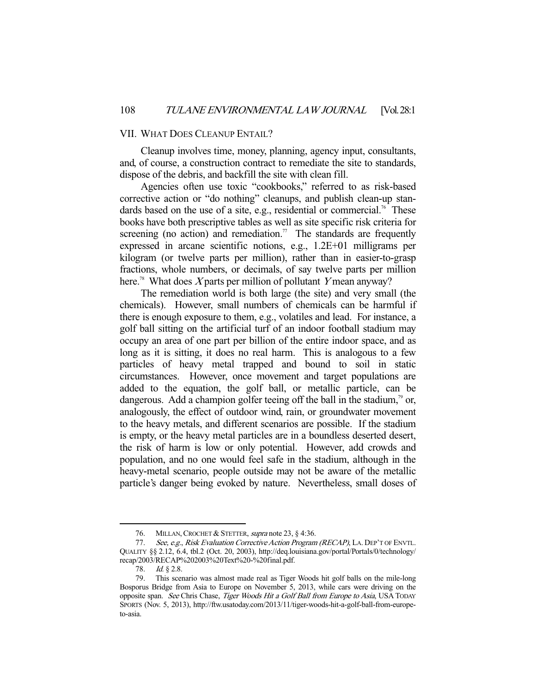#### VII. WHAT DOES CLEANUP ENTAIL?

 Cleanup involves time, money, planning, agency input, consultants, and, of course, a construction contract to remediate the site to standards, dispose of the debris, and backfill the site with clean fill.

 Agencies often use toxic "cookbooks," referred to as risk-based corrective action or "do nothing" cleanups, and publish clean-up standards based on the use of a site, e.g., residential or commercial.<sup>76</sup> These books have both prescriptive tables as well as site specific risk criteria for screening (no action) and remediation.<sup>77</sup> The standards are frequently expressed in arcane scientific notions, e.g., 1.2E+01 milligrams per kilogram (or twelve parts per million), rather than in easier-to-grasp fractions, whole numbers, or decimals, of say twelve parts per million here.<sup>78</sup> What does X parts per million of pollutant Y mean anyway?

 The remediation world is both large (the site) and very small (the chemicals). However, small numbers of chemicals can be harmful if there is enough exposure to them, e.g., volatiles and lead. For instance, a golf ball sitting on the artificial turf of an indoor football stadium may occupy an area of one part per billion of the entire indoor space, and as long as it is sitting, it does no real harm. This is analogous to a few particles of heavy metal trapped and bound to soil in static circumstances. However, once movement and target populations are added to the equation, the golf ball, or metallic particle, can be dangerous. Add a champion golfer teeing off the ball in the stadium,<sup>79</sup> or, analogously, the effect of outdoor wind, rain, or groundwater movement to the heavy metals, and different scenarios are possible. If the stadium is empty, or the heavy metal particles are in a boundless deserted desert, the risk of harm is low or only potential. However, add crowds and population, and no one would feel safe in the stadium, although in the heavy-metal scenario, people outside may not be aware of the metallic particle's danger being evoked by nature. Nevertheless, small doses of

<sup>76.</sup> MILLAN, CROCHET & STETTER, supra note 23, § 4:36.

<sup>77.</sup> See, e.g., Risk Evaluation Corrective Action Program (RECAP), LA. DEP'T OF ENVTL. QUALITY §§ 2.12, 6.4, tbl.2 (Oct. 20, 2003), http://deq.louisiana.gov/portal/Portals/0/technology/ recap/2003/RECAP%202003%20Text%20-%20final.pdf.

<sup>78.</sup> *Id.* § 2.8.

 <sup>79.</sup> This scenario was almost made real as Tiger Woods hit golf balls on the mile-long Bosporus Bridge from Asia to Europe on November 5, 2013, while cars were driving on the opposite span. See Chris Chase, Tiger Woods Hit a Golf Ball from Europe to Asia, USA TODAY SPORTS (Nov. 5, 2013), http://ftw.usatoday.com/2013/11/tiger-woods-hit-a-golf-ball-from-europeto-asia.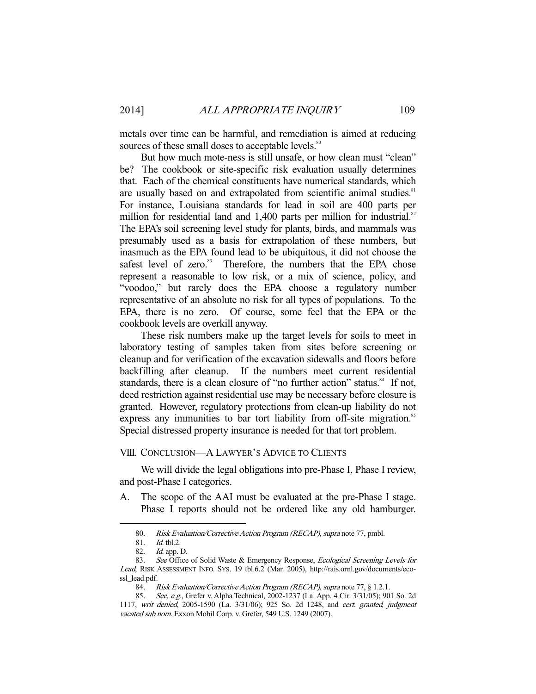metals over time can be harmful, and remediation is aimed at reducing sources of these small doses to acceptable levels.<sup>80</sup>

 But how much mote-ness is still unsafe, or how clean must "clean" be? The cookbook or site-specific risk evaluation usually determines that. Each of the chemical constituents have numerical standards, which are usually based on and extrapolated from scientific animal studies.<sup>81</sup> For instance, Louisiana standards for lead in soil are 400 parts per million for residential land and  $1,400$  parts per million for industrial.<sup>82</sup> The EPA's soil screening level study for plants, birds, and mammals was presumably used as a basis for extrapolation of these numbers, but inasmuch as the EPA found lead to be ubiquitous, it did not choose the safest level of zero.<sup>83</sup> Therefore, the numbers that the EPA chose represent a reasonable to low risk, or a mix of science, policy, and "voodoo," but rarely does the EPA choose a regulatory number representative of an absolute no risk for all types of populations. To the EPA, there is no zero. Of course, some feel that the EPA or the cookbook levels are overkill anyway.

 These risk numbers make up the target levels for soils to meet in laboratory testing of samples taken from sites before screening or cleanup and for verification of the excavation sidewalls and floors before backfilling after cleanup. If the numbers meet current residential standards, there is a clean closure of "no further action" status.<sup>84</sup> If not, deed restriction against residential use may be necessary before closure is granted. However, regulatory protections from clean-up liability do not express any immunities to bar tort liability from off-site migration.<sup>85</sup> Special distressed property insurance is needed for that tort problem.

## VIII. CONCLUSION—A LAWYER'S ADVICE TO CLIENTS

 We will divide the legal obligations into pre-Phase I, Phase I review, and post-Phase I categories.

A. The scope of the AAI must be evaluated at the pre-Phase I stage. Phase I reports should not be ordered like any old hamburger.

<sup>80.</sup> Risk Evaluation/Corrective Action Program (RECAP), supra note 77, pmbl.

 <sup>81.</sup> Id. tbl.2.

 <sup>82.</sup> Id. app. D.

<sup>83.</sup> See Office of Solid Waste & Emergency Response, Ecological Screening Levels for Lead, RISK ASSESSMENT INFO. SYS. 19 tbl.6.2 (Mar. 2005), http://rais.ornl.gov/documents/ecossl\_lead.pdf.

<sup>84.</sup> Risk Evaluation/Corrective Action Program (RECAP), supra note 77, § 1.2.1.

<sup>85.</sup> See, e.g., Grefer v. Alpha Technical, 2002-1237 (La. App. 4 Cir. 3/31/05); 901 So. 2d 1117, writ denied, 2005-1590 (La. 3/31/06); 925 So. 2d 1248, and cert. granted, judgment vacated sub nom. Exxon Mobil Corp. v. Grefer, 549 U.S. 1249 (2007).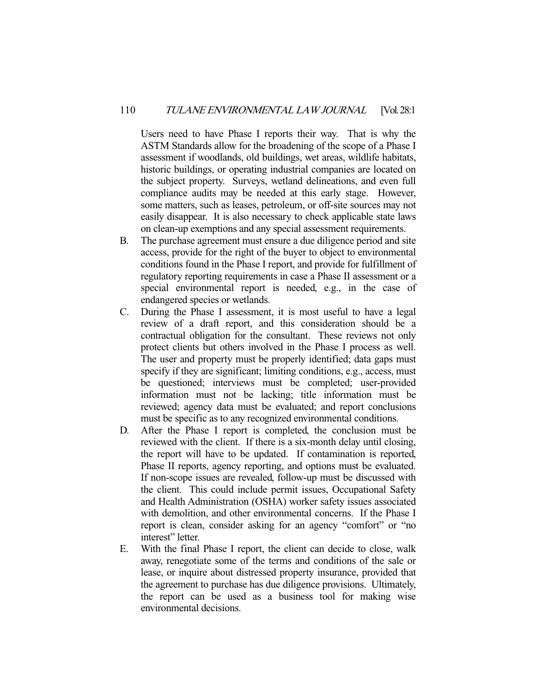Users need to have Phase I reports their way. That is why the ASTM Standards allow for the broadening of the scope of a Phase I assessment if woodlands, old buildings, wet areas, wildlife habitats, historic buildings, or operating industrial companies are located on the subject property. Surveys, wetland delineations, and even full compliance audits may be needed at this early stage. However, some matters, such as leases, petroleum, or off-site sources may not easily disappear. It is also necessary to check applicable state laws on clean-up exemptions and any special assessment requirements.

- B. The purchase agreement must ensure a due diligence period and site access, provide for the right of the buyer to object to environmental conditions found in the Phase I report, and provide for fulfillment of regulatory reporting requirements in case a Phase II assessment or a special environmental report is needed, e.g., in the case of endangered species or wetlands.
- C. During the Phase I assessment, it is most useful to have a legal review of a draft report, and this consideration should be a contractual obligation for the consultant. These reviews not only protect clients but others involved in the Phase I process as well. The user and property must be properly identified; data gaps must specify if they are significant; limiting conditions, e.g., access, must be questioned; interviews must be completed; user-provided information must not be lacking; title information must be reviewed; agency data must be evaluated; and report conclusions must be specific as to any recognized environmental conditions.
- D. After the Phase I report is completed, the conclusion must be reviewed with the client. If there is a six-month delay until closing, the report will have to be updated. If contamination is reported, Phase II reports, agency reporting, and options must be evaluated. If non-scope issues are revealed, follow-up must be discussed with the client. This could include permit issues, Occupational Safety and Health Administration (OSHA) worker safety issues associated with demolition, and other environmental concerns. If the Phase I report is clean, consider asking for an agency "comfort" or "no interest" letter.
- E. With the final Phase I report, the client can decide to close, walk away, renegotiate some of the terms and conditions of the sale or lease, or inquire about distressed property insurance, provided that the agreement to purchase has due diligence provisions. Ultimately, the report can be used as a business tool for making wise environmental decisions.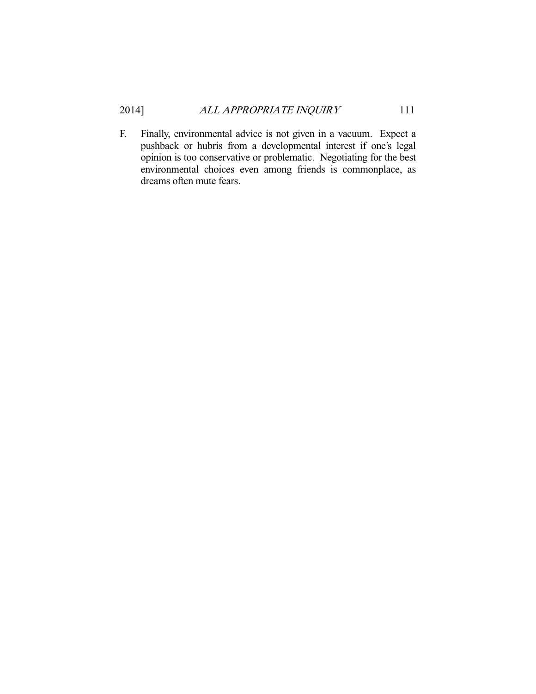F. Finally, environmental advice is not given in a vacuum. Expect a pushback or hubris from a developmental interest if one's legal opinion is too conservative or problematic. Negotiating for the best environmental choices even among friends is commonplace, as dreams often mute fears.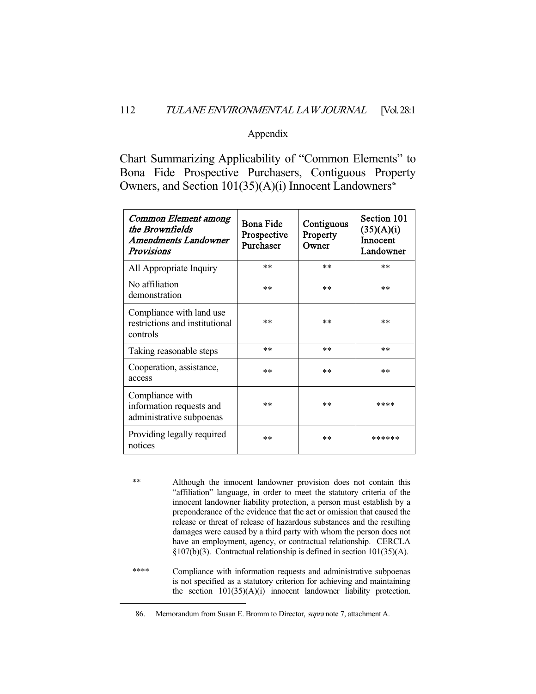#### Appendix

Chart Summarizing Applicability of "Common Elements" to Bona Fide Prospective Purchasers, Contiguous Property Owners, and Section  $101(35)(A)(i)$  Innocent Landowners<sup>86</sup>

| Common Element among<br>the Brownfields<br>Amendments Landowner<br>Provisions | Bona Fide<br>Prospective<br>Purchaser | Contiguous<br>Property<br>Owner | Section 101<br>(35)(A)(i)<br>Innocent<br>Landowner |
|-------------------------------------------------------------------------------|---------------------------------------|---------------------------------|----------------------------------------------------|
| All Appropriate Inquiry                                                       | $**$                                  | $***$                           | $**$                                               |
| No affiliation<br>demonstration                                               | $**$                                  | $***$                           | **                                                 |
| Compliance with land use<br>restrictions and institutional<br>controls        | **                                    | $***$                           | **                                                 |
| Taking reasonable steps                                                       | **                                    | $**$                            | $**$                                               |
| Cooperation, assistance,<br>access                                            | $**$                                  | $***$                           | **                                                 |
| Compliance with<br>information requests and<br>administrative subpoenas       | **                                    | **                              | ****                                               |
| Providing legally required<br>notices                                         | **                                    | **                              | ******                                             |

\*\* Although the innocent landowner provision does not contain this "affiliation" language, in order to meet the statutory criteria of the innocent landowner liability protection, a person must establish by a preponderance of the evidence that the act or omission that caused the release or threat of release of hazardous substances and the resulting damages were caused by a third party with whom the person does not have an employment, agency, or contractual relationship. CERCLA §107(b)(3). Contractual relationship is defined in section 101(35)(A).

\*\*\*\* Compliance with information requests and administrative subpoenas is not specified as a statutory criterion for achieving and maintaining the section 101(35)(A)(i) innocent landowner liability protection.

 <sup>86.</sup> Memorandum from Susan E. Bromm to Director, supra note 7, attachment A.